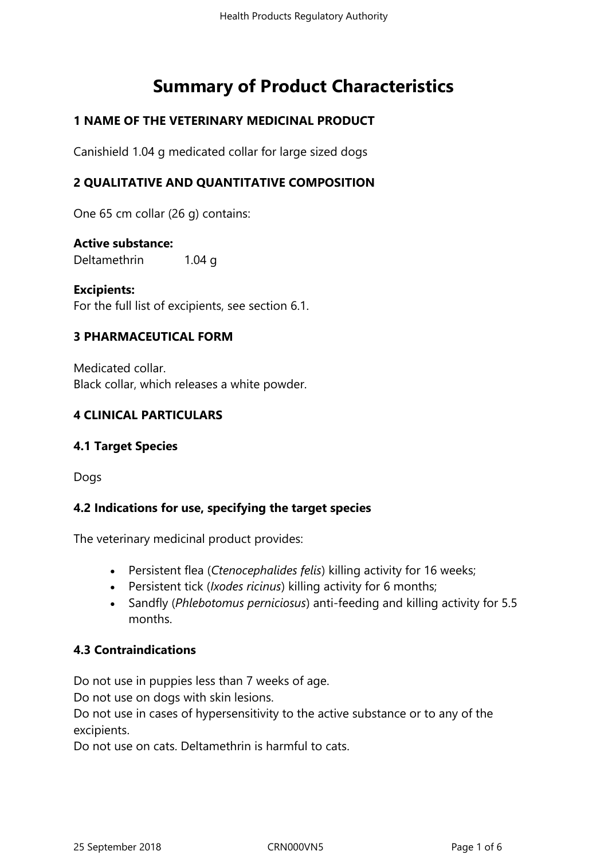# **Summary of Product Characteristics**

## **1 NAME OF THE VETERINARY MEDICINAL PRODUCT**

Canishield 1.04 g medicated collar for large sized dogs

## **2 QUALITATIVE AND QUANTITATIVE COMPOSITION**

One 65 cm collar (26 g) contains:

#### **Active substance:**

Deltamethrin 1.04 g

**Excipients:** For the full list of excipients, see section 6.1.

## **3 PHARMACEUTICAL FORM**

Medicated collar. Black collar, which releases a white powder.

## **4 CLINICAL PARTICULARS**

## **4.1 Target Species**

Dogs

## **4.2 Indications for use, specifying the target species**

The veterinary medicinal product provides:

- Persistent flea (*Ctenocephalides felis*) killing activity for 16 weeks;
- Persistent tick (*Ixodes ricinus*) killing activity for 6 months;
- Sandfly (*Phlebotomus perniciosus*) anti-feeding and killing activity for 5.5 months.

## **4.3 Contraindications**

Do not use in puppies less than 7 weeks of age.

Do not use on dogs with skin lesions.

Do not use in cases of hypersensitivity to the active substance or to any of the excipients.

Do not use on cats. Deltamethrin is harmful to cats.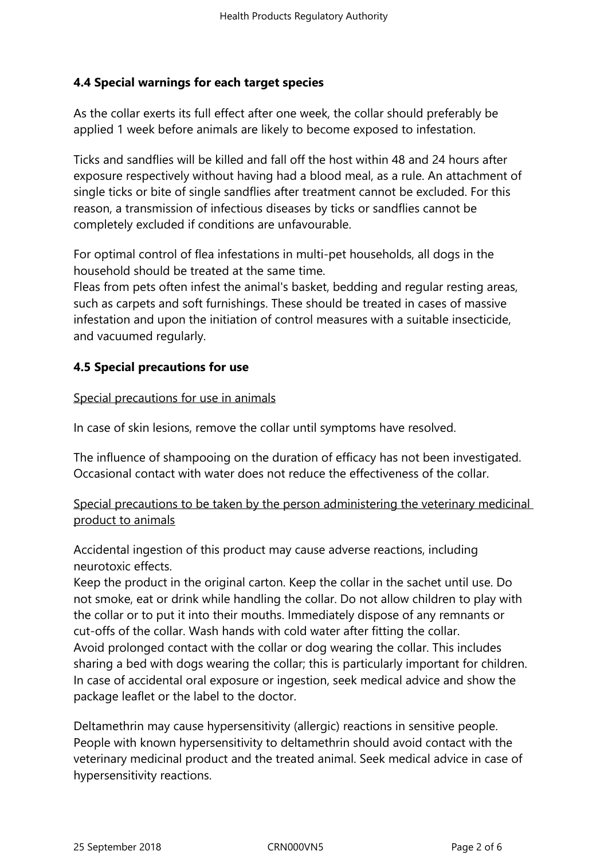## **4.4 Special warnings for each target species**

As the collar exerts its full effect after one week, the collar should preferably be applied 1 week before animals are likely to become exposed to infestation.

Ticks and sandflies will be killed and fall off the host within 48 and 24 hours after exposure respectively without having had a blood meal, as a rule. An attachment of single ticks or bite of single sandflies after treatment cannot be excluded. For this reason, a transmission of infectious diseases by ticks or sandflies cannot be completely excluded if conditions are unfavourable.

For optimal control of flea infestations in multi-pet households, all dogs in the household should be treated at the same time.

Fleas from pets often infest the animal's basket, bedding and regular resting areas, such as carpets and soft furnishings. These should be treated in cases of massive infestation and upon the initiation of control measures with a suitable insecticide, and vacuumed regularly.

## **4.5 Special precautions for use**

#### Special precautions for use in animals

In case of skin lesions, remove the collar until symptoms have resolved.

The influence of shampooing on the duration of efficacy has not been investigated. Occasional contact with water does not reduce the effectiveness of the collar.

# Special precautions to be taken by the person administering the veterinary medicinal product to animals

Accidental ingestion of this product may cause adverse reactions, including neurotoxic effects.

Keep the product in the original carton. Keep the collar in the sachet until use. Do not smoke, eat or drink while handling the collar. Do not allow children to play with the collar or to put it into their mouths. Immediately dispose of any remnants or cut-offs of the collar. Wash hands with cold water after fitting the collar. Avoid prolonged contact with the collar or dog wearing the collar. This includes sharing a bed with dogs wearing the collar; this is particularly important for children. In case of accidental oral exposure or ingestion, seek medical advice and show the package leaflet or the label to the doctor.

Deltamethrin may cause hypersensitivity (allergic) reactions in sensitive people. People with known hypersensitivity to deltamethrin should avoid contact with the veterinary medicinal product and the treated animal. Seek medical advice in case of hypersensitivity reactions.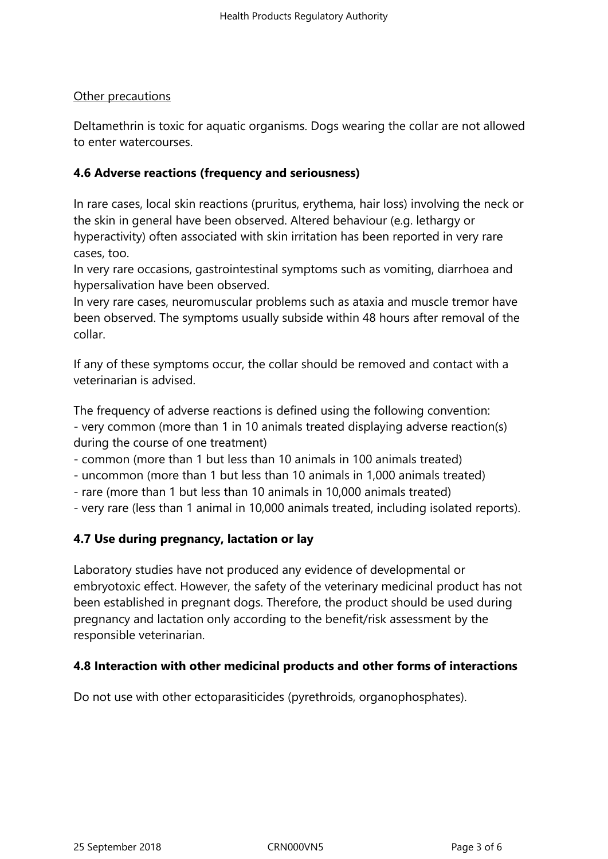#### Other precautions

Deltamethrin is toxic for aquatic organisms. Dogs wearing the collar are not allowed to enter watercourses.

## **4.6 Adverse reactions (frequency and seriousness)**

In rare cases, local skin reactions (pruritus, erythema, hair loss) involving the neck or the skin in general have been observed. Altered behaviour (e.g. lethargy or hyperactivity) often associated with skin irritation has been reported in very rare cases, too.

In very rare occasions, gastrointestinal symptoms such as vomiting, diarrhoea and hypersalivation have been observed.

In very rare cases, neuromuscular problems such as ataxia and muscle tremor have been observed. The symptoms usually subside within 48 hours after removal of the collar.

If any of these symptoms occur, the collar should be removed and contact with a veterinarian is advised.

The frequency of adverse reactions is defined using the following convention: - very common (more than 1 in 10 animals treated displaying adverse reaction(s) during the course of one treatment)

- common (more than 1 but less than 10 animals in 100 animals treated)

- uncommon (more than 1 but less than 10 animals in 1,000 animals treated)
- rare (more than 1 but less than 10 animals in 10,000 animals treated)
- very rare (less than 1 animal in 10,000 animals treated, including isolated reports).

## **4.7 Use during pregnancy, lactation or lay**

Laboratory studies have not produced any evidence of developmental or embryotoxic effect. However, the safety of the veterinary medicinal product has not been established in pregnant dogs. Therefore, the product should be used during pregnancy and lactation only according to the benefit/risk assessment by the responsible veterinarian.

#### **4.8 Interaction with other medicinal products and other forms of interactions**

Do not use with other ectoparasiticides (pyrethroids, organophosphates).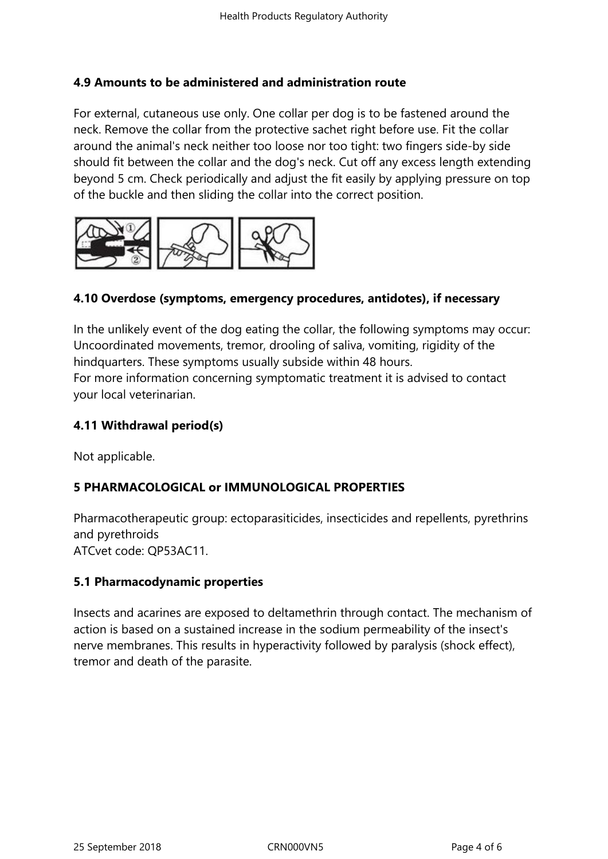#### **4.9 Amounts to be administered and administration route**

For external, cutaneous use only. One collar per dog is to be fastened around the neck. Remove the collar from the protective sachet right before use. Fit the collar around the animal's neck neither too loose nor too tight: two fingers side-by side should fit between the collar and the dog's neck. Cut off any excess length extending beyond 5 cm. Check periodically and adjust the fit easily by applying pressure on top of the buckle and then sliding the collar into the correct position.



## **4.10 Overdose (symptoms, emergency procedures, antidotes), if necessary**

In the unlikely event of the dog eating the collar, the following symptoms may occur: Uncoordinated movements, tremor, drooling of saliva, vomiting, rigidity of the hindquarters. These symptoms usually subside within 48 hours. For more information concerning symptomatic treatment it is advised to contact your local veterinarian.

#### **4.11 Withdrawal period(s)**

Not applicable.

## **5 PHARMACOLOGICAL or IMMUNOLOGICAL PROPERTIES**

Pharmacotherapeutic group: ectoparasiticides, insecticides and repellents, pyrethrins and pyrethroids

ATCvet code: QP53AC11.

## **5.1 Pharmacodynamic properties**

Insects and acarines are exposed to deltamethrin through contact. The mechanism of action is based on a sustained increase in the sodium permeability of the insect's nerve membranes. This results in hyperactivity followed by paralysis (shock effect), tremor and death of the parasite.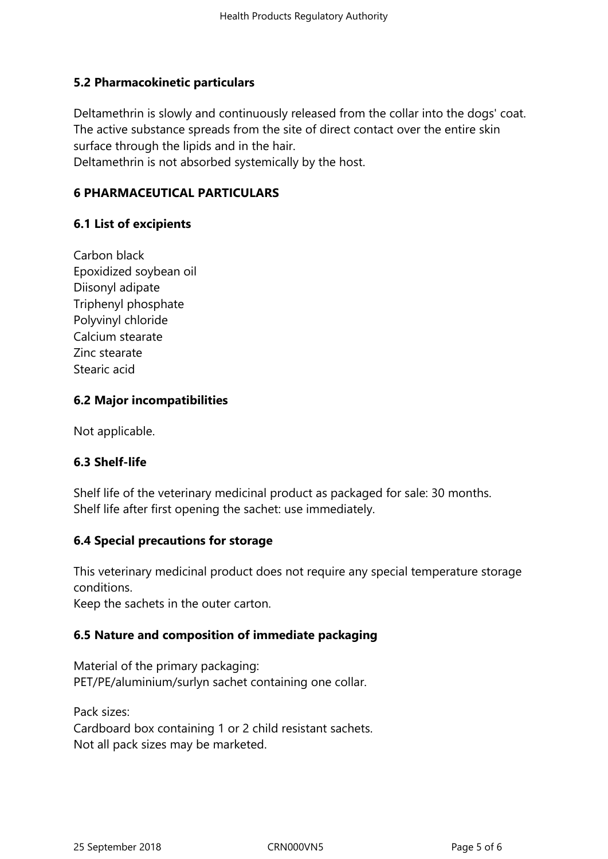#### **5.2 Pharmacokinetic particulars**

Deltamethrin is slowly and continuously released from the collar into the dogs' coat. The active substance spreads from the site of direct contact over the entire skin surface through the lipids and in the hair.

Deltamethrin is not absorbed systemically by the host.

## **6 PHARMACEUTICAL PARTICULARS**

## **6.1 List of excipients**

Carbon black Epoxidized soybean oil Diisonyl adipate Triphenyl phosphate Polyvinyl chloride Calcium stearate Zinc stearate Stearic acid

#### **6.2 Major incompatibilities**

Not applicable.

#### **6.3 Shelf-life**

Shelf life of the veterinary medicinal product as packaged for sale: 30 months. Shelf life after first opening the sachet: use immediately.

#### **6.4 Special precautions for storage**

This veterinary medicinal product does not require any special temperature storage conditions.

Keep the sachets in the outer carton.

## **6.5 Nature and composition of immediate packaging**

Material of the primary packaging: PET/PE/aluminium/surlyn sachet containing one collar.

Pack sizes: Cardboard box containing 1 or 2 child resistant sachets. Not all pack sizes may be marketed.